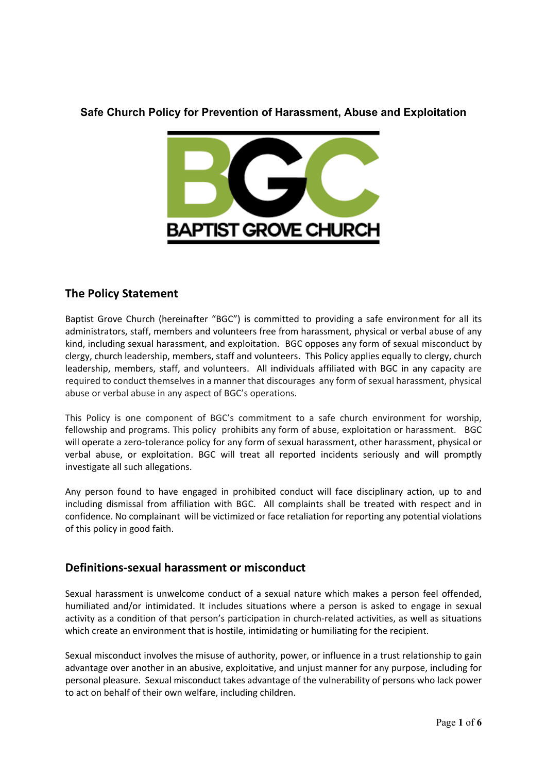### **Safe Church Policy for Prevention of Harassment, Abuse and Exploitation**



## **The Policy Statement**

Baptist Grove Church (hereinafter "BGC") is committed to providing a safe environment for all its administrators, staff, members and volunteers free from harassment, physical or verbal abuse of any kind, including sexual harassment, and exploitation. BGC opposes any form of sexual misconduct by clergy, church leadership, members, staff and volunteers. This Policy applies equally to clergy, church leadership, members, staff, and volunteers. All individuals affiliated with BGC in any capacity are required to conduct themselves in a manner that discourages any form of sexual harassment, physical abuse or verbal abuse in any aspect of BGC's operations.

This Policy is one component of BGC's commitment to a safe church environment for worship, fellowship and programs. This policy prohibits any form of abuse, exploitation or harassment. BGC will operate a zero-tolerance policy for any form of sexual harassment, other harassment, physical or verbal abuse, or exploitation. BGC will treat all reported incidents seriously and will promptly investigate all such allegations.

Any person found to have engaged in prohibited conduct will face disciplinary action, up to and including dismissal from affiliation with BGC. All complaints shall be treated with respect and in confidence. No complainant will be victimized or face retaliation for reporting any potential violations of this policy in good faith.

## **Definitions-sexual harassment or misconduct**

Sexual harassment is unwelcome conduct of a sexual nature which makes a person feel offended, humiliated and/or intimidated. It includes situations where a person is asked to engage in sexual activity as a condition of that person's participation in church-related activities, as well as situations which create an environment that is hostile, intimidating or humiliating for the recipient.

Sexual misconduct involves the misuse of authority, power, or influence in a trust relationship to gain advantage over another in an abusive, exploitative, and unjust manner for any purpose, including for personal pleasure. Sexual misconduct takes advantage of the vulnerability of persons who lack power to act on behalf of their own welfare, including children.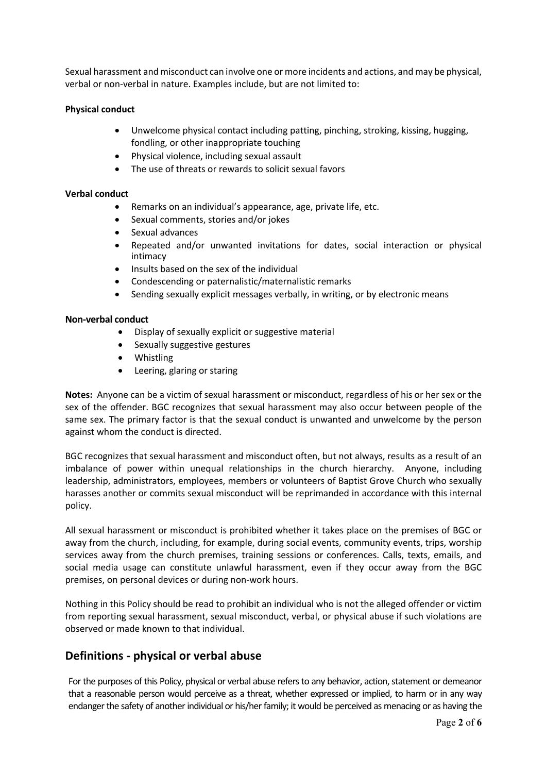Sexual harassment and misconduct can involve one or more incidents and actions, and may be physical, verbal or non-verbal in nature. Examples include, but are not limited to:

#### **Physical conduct**

- Unwelcome physical contact including patting, pinching, stroking, kissing, hugging, fondling, or other inappropriate touching
- Physical violence, including sexual assault
- The use of threats or rewards to solicit sexual favors

#### **Verbal conduct**

- Remarks on an individual's appearance, age, private life, etc.
- Sexual comments, stories and/or jokes
- Sexual advances
- Repeated and/or unwanted invitations for dates, social interaction or physical intimacy
- Insults based on the sex of the individual
- Condescending or paternalistic/maternalistic remarks
- Sending sexually explicit messages verbally, in writing, or by electronic means

#### **Non-verbal conduct**

- Display of sexually explicit or suggestive material
- Sexually suggestive gestures
- Whistling
- Leering, glaring or staring

**Notes:** Anyone can be a victim of sexual harassment or misconduct, regardless of his or her sex or the sex of the offender. BGC recognizes that sexual harassment may also occur between people of the same sex. The primary factor is that the sexual conduct is unwanted and unwelcome by the person against whom the conduct is directed.

BGC recognizes that sexual harassment and misconduct often, but not always, results as a result of an imbalance of power within unequal relationships in the church hierarchy. Anyone, including leadership, administrators, employees, members or volunteers of Baptist Grove Church who sexually harasses another or commits sexual misconduct will be reprimanded in accordance with this internal policy.

All sexual harassment or misconduct is prohibited whether it takes place on the premises of BGC or away from the church, including, for example, during social events, community events, trips, worship services away from the church premises, training sessions or conferences. Calls, texts, emails, and social media usage can constitute unlawful harassment, even if they occur away from the BGC premises, on personal devices or during non-work hours.

Nothing in this Policy should be read to prohibit an individual who is not the alleged offender or victim from reporting sexual harassment, sexual misconduct, verbal, or physical abuse if such violations are observed or made known to that individual.

## **Definitions - physical or verbal abuse**

For the purposes of this Policy, physical or verbal abuse refers to any behavior, action, statement or demeanor that a reasonable person would perceive as a threat, whether expressed or implied, to harm or in any way endanger the safety of another individual or his/her family; it would be perceived as menacing or as having the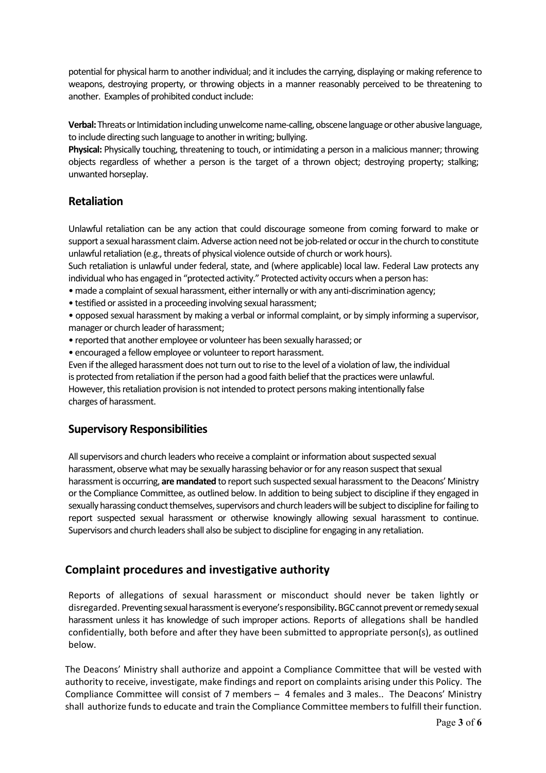potential for physical harm to another individual; and it includesthe carrying, displaying or making reference to weapons, destroying property, or throwing objects in a manner reasonably perceived to be threatening to another. Examples of prohibited conduct include:

**Verbal:** Threats or Intimidation including unwelcome name-calling, obscene language orother abusive language, to include directing such language to another in writing; bullying.

**Physical:** Physically touching, threatening to touch, or intimidating a person in a malicious manner; throwing objects regardless of whether a person is the target of a thrown object; destroying property; stalking; unwanted horseplay.

## **Retaliation**

Unlawful retaliation can be any action that could discourage someone from coming forward to make or support a sexual harassment claim. Adverse action need not be job-related or occur in the church to constitute unlawful retaliation (e.g., threats of physical violence outside of church or work hours).

Such retaliation is unlawful under federal, state, and (where applicable) local law. Federal Law protects any individual who has engaged in "protected activity." Protected activity occurs when a person has:

- made a complaint of sexual harassment, either internally or with any anti-discrimination agency;
- testified or assisted in a proceeding involving sexual harassment;

• opposed sexual harassment by making a verbal or informal complaint, or by simply informing a supervisor, manager or church leader of harassment;

- reported that another employee or volunteer has been sexually harassed; or
- encouraged a fellow employee or volunteer to report harassment.

Even if the alleged harassment does not turn out to rise to the level of a violation of law, the individual is protected from retaliation if the person had a good faith belief that the practices were unlawful. However, this retaliation provision is not intended to protect persons making intentionally false charges of harassment.

### **Supervisory Responsibilities**

All supervisors and church leaders who receive a complaint or information about suspected sexual harassment, observe what may be sexually harassing behavior or for any reason suspect that sexual harassment is occurring, **are mandated** to report such suspected sexual harassment to the Deacons' Ministry or the Compliance Committee, as outlined below. In addition to being subject to discipline if they engaged in sexually harassing conduct themselves, supervisors and church leaders will be subject to discipline for failing to report suspected sexual harassment or otherwise knowingly allowing sexual harassment to continue. Supervisors and church leaders shall also be subject to discipline for engaging in any retaliation.

## **Complaint procedures and investigative authority**

Reports of allegations of sexual harassment or misconduct should never be taken lightly or disregarded. Preventing sexual harassment is everyone's responsibility**.** BGC cannot prevent or remedy sexual harassment unless it has knowledge of such improper actions. Reports of allegations shall be handled confidentially, both before and after they have been submitted to appropriate person(s), as outlined below.

The Deacons' Ministry shall authorize and appoint a Compliance Committee that will be vested with authority to receive, investigate, make findings and report on complaints arising under this Policy. The Compliance Committee will consist of 7 members – 4 females and 3 males.. The Deacons' Ministry shall authorize funds to educate and train the Compliance Committee members to fulfill their function.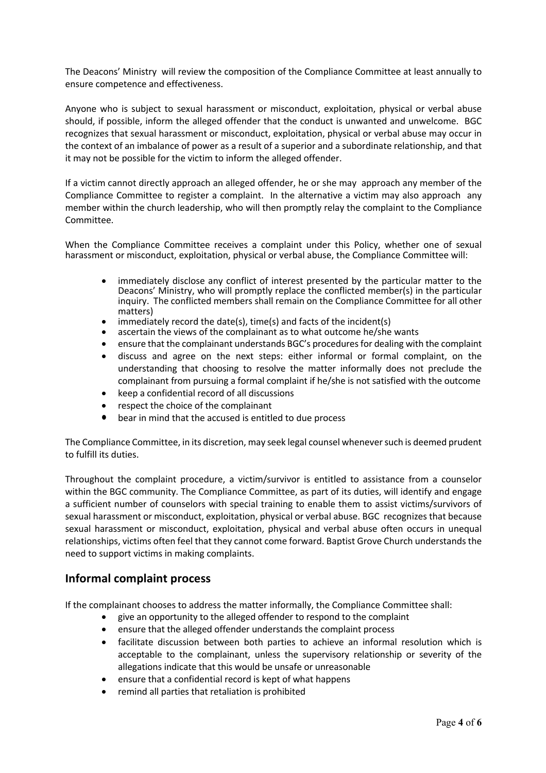The Deacons' Ministry will review the composition of the Compliance Committee at least annually to ensure competence and effectiveness.

Anyone who is subject to sexual harassment or misconduct, exploitation, physical or verbal abuse should, if possible, inform the alleged offender that the conduct is unwanted and unwelcome. BGC recognizes that sexual harassment or misconduct, exploitation, physical or verbal abuse may occur in the context of an imbalance of power as a result of a superior and a subordinate relationship, and that it may not be possible for the victim to inform the alleged offender.

If a victim cannot directly approach an alleged offender, he or she may approach any member of the Compliance Committee to register a complaint. In the alternative a victim may also approach any member within the church leadership, who will then promptly relay the complaint to the Compliance Committee.

When the Compliance Committee receives a complaint under this Policy, whether one of sexual harassment or misconduct, exploitation, physical or verbal abuse, the Compliance Committee will:

- immediately disclose any conflict of interest presented by the particular matter to the Deacons' Ministry, who will promptly replace the conflicted member(s) in the particular inquiry. The conflicted members shall remain on the Compliance Committee for all other matters)<br>immediately record the date(s), time(s) and facts of the incident(s)
- 
- ascertain the views of the complainant as to what outcome he/she wants
- ensure that the complainant understands BGC's procedures for dealing with the complaint
- discuss and agree on the next steps: either informal or formal complaint, on the understanding that choosing to resolve the matter informally does not preclude the complainant from pursuing a formal complaint if he/she is not satisfied with the outcome
- keep a confidential record of all discussions
- respect the choice of the complainant
- bear in mind that the accused is entitled to due process

The Compliance Committee, in its discretion, may seek legal counsel whenever such is deemed prudent to fulfill its duties.

Throughout the complaint procedure, a victim/survivor is entitled to assistance from a counselor within the BGC community. The Compliance Committee, as part of its duties, will identify and engage a sufficient number of counselors with special training to enable them to assist victims/survivors of sexual harassment or misconduct, exploitation, physical or verbal abuse. BGC recognizes that because sexual harassment or misconduct, exploitation, physical and verbal abuse often occurs in unequal relationships, victims often feel that they cannot come forward. Baptist Grove Church understands the need to support victims in making complaints.

### **Informal complaint process**

If the complainant chooses to address the matter informally, the Compliance Committee shall:

- give an opportunity to the alleged offender to respond to the complaint
- ensure that the alleged offender understands the complaint process
- facilitate discussion between both parties to achieve an informal resolution which is acceptable to the complainant, unless the supervisory relationship or severity of the allegations indicate that this would be unsafe or unreasonable
- ensure that a confidential record is kept of what happens
- remind all parties that retaliation is prohibited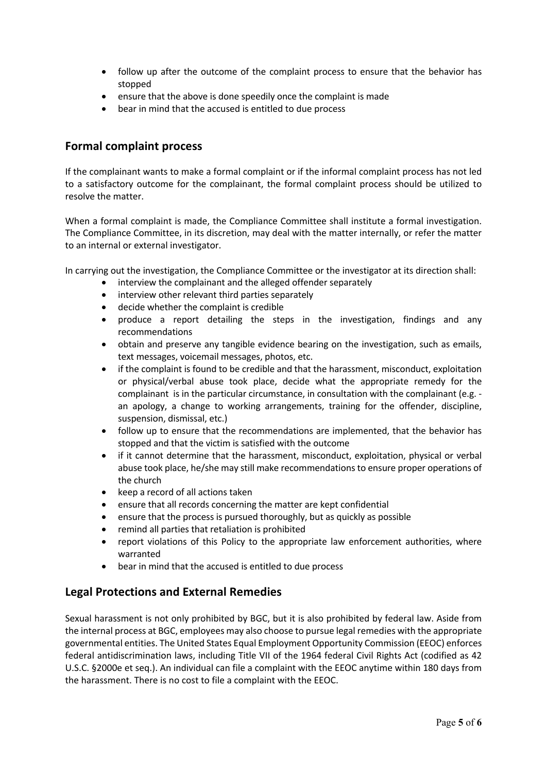- follow up after the outcome of the complaint process to ensure that the behavior has stopped
- ensure that the above is done speedily once the complaint is made
- bear in mind that the accused is entitled to due process

## **Formal complaint process**

If the complainant wants to make a formal complaint or if the informal complaint process has not led to a satisfactory outcome for the complainant, the formal complaint process should be utilized to resolve the matter.

When a formal complaint is made, the Compliance Committee shall institute a formal investigation. The Compliance Committee, in its discretion, may deal with the matter internally, or refer the matter to an internal or external investigator.

In carrying out the investigation, the Compliance Committee or the investigator at its direction shall:

- interview the complainant and the alleged offender separately
- interview other relevant third parties separately
- decide whether the complaint is credible
- produce a report detailing the steps in the investigation, findings and any recommendations
- obtain and preserve any tangible evidence bearing on the investigation, such as emails, text messages, voicemail messages, photos, etc.
- if the complaint is found to be credible and that the harassment, misconduct, exploitation or physical/verbal abuse took place, decide what the appropriate remedy for the complainant is in the particular circumstance, in consultation with the complainant (e.g. an apology, a change to working arrangements, training for the offender, discipline, suspension, dismissal, etc.)
- follow up to ensure that the recommendations are implemented, that the behavior has stopped and that the victim is satisfied with the outcome
- if it cannot determine that the harassment, misconduct, exploitation, physical or verbal abuse took place, he/she may still make recommendations to ensure proper operations of the church
- keep a record of all actions taken
- ensure that all records concerning the matter are kept confidential
- ensure that the process is pursued thoroughly, but as quickly as possible
- remind all parties that retaliation is prohibited
- report violations of this Policy to the appropriate law enforcement authorities, where warranted
- bear in mind that the accused is entitled to due process

## **Legal Protections and External Remedies**

Sexual harassment is not only prohibited by BGC, but it is also prohibited by federal law. Aside from the internal process at BGC, employees may also choose to pursue legal remedies with the appropriate governmental entities. The United States Equal Employment Opportunity Commission (EEOC) enforces federal antidiscrimination laws, including Title VII of the 1964 federal Civil Rights Act (codified as 42 U.S.C. §2000e et seq.). An individual can file a complaint with the EEOC anytime within 180 days from the harassment. There is no cost to file a complaint with the EEOC.